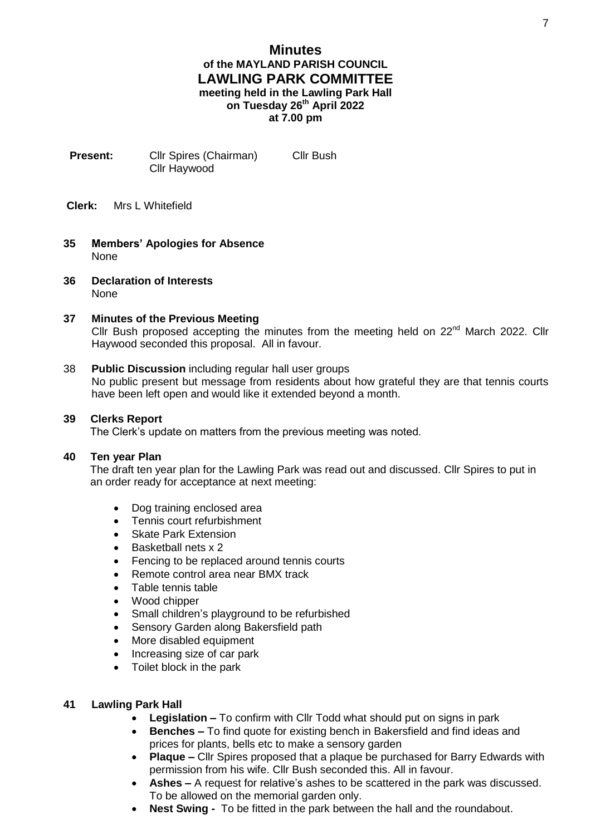# **Minutes of the MAYLAND PARISH COUNCIL LAWLING PARK COMMITTEE meeting held in the Lawling Park Hall on Tuesday 26th April 2022 at 7.00 pm**

- **Present:** Cllr Spires (Chairman) Cllr Bush Cllr Haywood
- **Clerk:** Mrs L Whitefield
- **35 Members' Apologies for Absence** None
- **36 Declaration of Interests** None

## **37 Minutes of the Previous Meeting**

Cllr Bush proposed accepting the minutes from the meeting held on  $22^{nd}$  March 2022. Cllr Haywood seconded this proposal. All in favour.

### 38 **Public Discussion** including regular hall user groups

No public present but message from residents about how grateful they are that tennis courts have been left open and would like it extended beyond a month.

### **39 Clerks Report**

The Clerk's update on matters from the previous meeting was noted.

#### **40 Ten year Plan**

The draft ten year plan for the Lawling Park was read out and discussed. Cllr Spires to put in an order ready for acceptance at next meeting:

- Dog training enclosed area
- Tennis court refurbishment
- Skate Park Extension
- Basketball nets x 2
- Fencing to be replaced around tennis courts
- Remote control area near BMX track
- Table tennis table
- Wood chipper
- Small children's playground to be refurbished
- Sensory Garden along Bakersfield path
- More disabled equipment
- Increasing size of car park
- Toilet block in the park

## **41 Lawling Park Hall**

- **Legislation –** To confirm with Cllr Todd what should put on signs in park
- **Benches –** To find quote for existing bench in Bakersfield and find ideas and prices for plants, bells etc to make a sensory garden
- **Plaque –** Cllr Spires proposed that a plaque be purchased for Barry Edwards with permission from his wife. Cllr Bush seconded this. All in favour.
- **Ashes –** A request for relative's ashes to be scattered in the park was discussed. To be allowed on the memorial garden only.
- **Nest Swing -** To be fitted in the park between the hall and the roundabout.